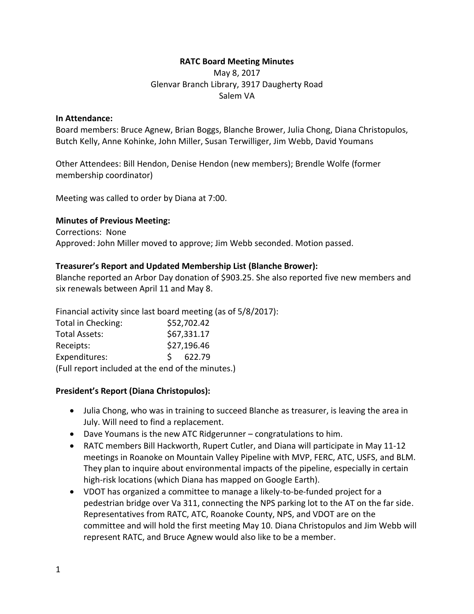### **RATC Board Meeting Minutes**

May 8, 2017 Glenvar Branch Library, 3917 Daugherty Road Salem VA

#### **In Attendance:**

Board members: Bruce Agnew, Brian Boggs, Blanche Brower, Julia Chong, Diana Christopulos, Butch Kelly, Anne Kohinke, John Miller, Susan Terwilliger, Jim Webb, David Youmans

Other Attendees: Bill Hendon, Denise Hendon (new members); Brendle Wolfe (former membership coordinator)

Meeting was called to order by Diana at 7:00.

#### **Minutes of Previous Meeting:**

Corrections: None Approved: John Miller moved to approve; Jim Webb seconded. Motion passed.

### **Treasurer's Report and Updated Membership List (Blanche Brower):**

Blanche reported an Arbor Day donation of \$903.25. She also reported five new members and six renewals between April 11 and May 8.

Financial activity since last board meeting (as of 5/8/2017):

| Total in Checking:                                |    | \$52,702.42 |
|---------------------------------------------------|----|-------------|
| Total Assets:                                     |    | \$67,331.17 |
| Receipts:                                         |    | \$27,196.46 |
| Expenditures:                                     | S. | 622.79      |
| (Full report included at the end of the minutes.) |    |             |

#### **President's Report (Diana Christopulos):**

- Julia Chong, who was in training to succeed Blanche as treasurer, is leaving the area in July. Will need to find a replacement.
- Dave Youmans is the new ATC Ridgerunner congratulations to him.
- RATC members Bill Hackworth, Rupert Cutler, and Diana will participate in May 11-12 meetings in Roanoke on Mountain Valley Pipeline with MVP, FERC, ATC, USFS, and BLM. They plan to inquire about environmental impacts of the pipeline, especially in certain high-risk locations (which Diana has mapped on Google Earth).
- VDOT has organized a committee to manage a likely-to-be-funded project for a pedestrian bridge over Va 311, connecting the NPS parking lot to the AT on the far side. Representatives from RATC, ATC, Roanoke County, NPS, and VDOT are on the committee and will hold the first meeting May 10. Diana Christopulos and Jim Webb will represent RATC, and Bruce Agnew would also like to be a member.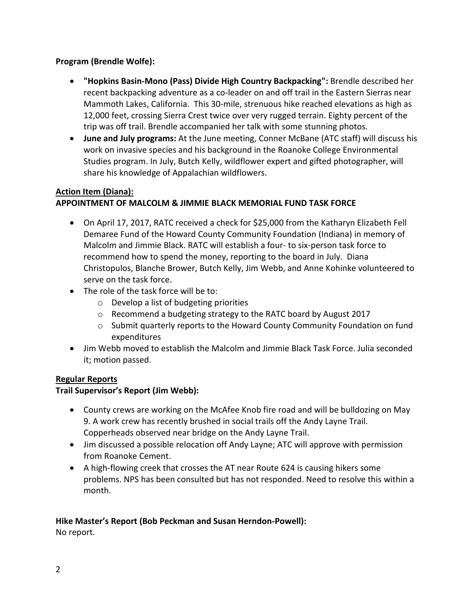## **Program (Brendle Wolfe):**

- **"Hopkins Basin-Mono (Pass) Divide High Country Backpacking":** Brendle described her recent backpacking adventure as a co-leader on and off trail in the Eastern Sierras near Mammoth Lakes, California. This 30-mile, strenuous hike reached elevations as high as 12,000 feet, crossing Sierra Crest twice over very rugged terrain. Eighty percent of the trip was off trail. Brendle accompanied her talk with some stunning photos.
- **June and July programs:** At the June meeting, Conner McBane (ATC staff) will discuss his work on invasive species and his background in the Roanoke College Environmental Studies program. In July, Butch Kelly, wildflower expert and gifted photographer, will share his knowledge of Appalachian wildflowers.

## **Action Item (Diana):**

## **APPOINTMENT OF MALCOLM & JIMMIE BLACK MEMORIAL FUND TASK FORCE**

- On April 17, 2017, RATC received a check for \$25,000 from the Katharyn Elizabeth Fell Demaree Fund of the Howard County Community Foundation (Indiana) in memory of Malcolm and Jimmie Black. RATC will establish a four- to six-person task force to recommend how to spend the money, reporting to the board in July. Diana Christopulos, Blanche Brower, Butch Kelly, Jim Webb, and Anne Kohinke volunteered to serve on the task force.
- The role of the task force will be to:
	- o Develop a list of budgeting priorities
	- o Recommend a budgeting strategy to the RATC board by August 2017
	- $\circ$  Submit quarterly reports to the Howard County Community Foundation on fund expenditures
- Jim Webb moved to establish the Malcolm and Jimmie Black Task Force. Julia seconded it; motion passed.

## **Regular Reports**

## **Trail Supervisor's Report (Jim Webb):**

- County crews are working on the McAfee Knob fire road and will be bulldozing on May 9. A work crew has recently brushed in social trails off the Andy Layne Trail. Copperheads observed near bridge on the Andy Layne Trail.
- Jim discussed a possible relocation off Andy Layne; ATC will approve with permission from Roanoke Cement.
- A high-flowing creek that crosses the AT near Route 624 is causing hikers some problems. NPS has been consulted but has not responded. Need to resolve this within a month.

## **Hike Master's Report (Bob Peckman and Susan Herndon-Powell):**

No report.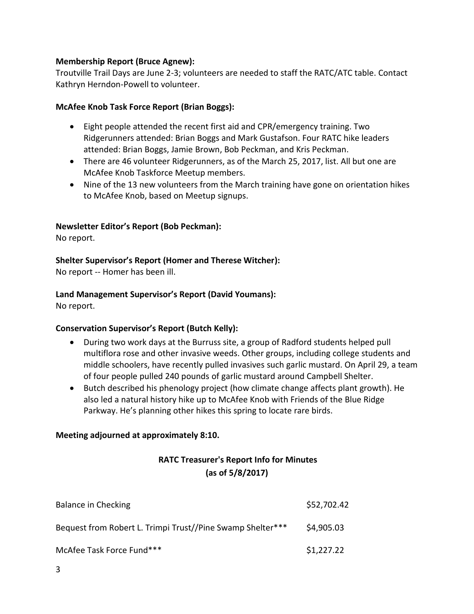### **Membership Report (Bruce Agnew):**

Troutville Trail Days are June 2-3; volunteers are needed to staff the RATC/ATC table. Contact Kathryn Herndon-Powell to volunteer.

### **McAfee Knob Task Force Report (Brian Boggs):**

- Eight people attended the recent first aid and CPR/emergency training. Two Ridgerunners attended: Brian Boggs and Mark Gustafson. Four RATC hike leaders attended: Brian Boggs, Jamie Brown, Bob Peckman, and Kris Peckman.
- There are 46 volunteer Ridgerunners, as of the March 25, 2017, list. All but one are McAfee Knob Taskforce Meetup members.
- Nine of the 13 new volunteers from the March training have gone on orientation hikes to McAfee Knob, based on Meetup signups.

## **Newsletter Editor's Report (Bob Peckman):**

No report.

## **Shelter Supervisor's Report (Homer and Therese Witcher):**

No report -- Homer has been ill.

## **Land Management Supervisor's Report (David Youmans):**

No report.

## **Conservation Supervisor's Report (Butch Kelly):**

- During two work days at the Burruss site, a group of Radford students helped pull multiflora rose and other invasive weeds. Other groups, including college students and middle schoolers, have recently pulled invasives such garlic mustard. On April 29, a team of four people pulled 240 pounds of garlic mustard around Campbell Shelter.
- Butch described his phenology project (how climate change affects plant growth). He also led a natural history hike up to McAfee Knob with Friends of the Blue Ridge Parkway. He's planning other hikes this spring to locate rare birds.

## **Meeting adjourned at approximately 8:10.**

# **RATC Treasurer's Report Info for Minutes (as of 5/8/2017)**

| Balance in Checking                                        | \$52,702.42 |
|------------------------------------------------------------|-------------|
| Bequest from Robert L. Trimpi Trust//Pine Swamp Shelter*** | \$4,905.03  |
| McAfee Task Force Fund***                                  | \$1,227.22  |